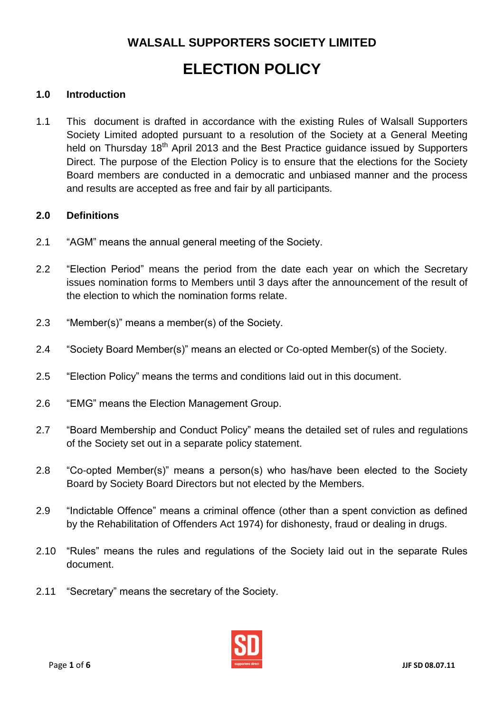# **WALSALL SUPPORTERS SOCIETY LIMITED ELECTION POLICY**

#### **1.0 Introduction**

1.1 This document is drafted in accordance with the existing Rules of Walsall Supporters Society Limited adopted pursuant to a resolution of the Society at a General Meeting held on Thursday 18<sup>th</sup> April 2013 and the Best Practice guidance issued by Supporters Direct. The purpose of the Election Policy is to ensure that the elections for the Society Board members are conducted in a democratic and unbiased manner and the process and results are accepted as free and fair by all participants.

#### **2.0 Definitions**

- 2.1 "AGM" means the annual general meeting of the Society.
- 2.2 "Election Period" means the period from the date each year on which the Secretary issues nomination forms to Members until 3 days after the announcement of the result of the election to which the nomination forms relate.
- 2.3 "Member(s)" means a member(s) of the Society.
- 2.4 "Society Board Member(s)" means an elected or Co-opted Member(s) of the Society.
- 2.5 "Election Policy" means the terms and conditions laid out in this document.
- 2.6 "EMG" means the Election Management Group.
- 2.7 "Board Membership and Conduct Policy" means the detailed set of rules and regulations of the Society set out in a separate policy statement.
- 2.8 "Co-opted Member(s)" means a person(s) who has/have been elected to the Society Board by Society Board Directors but not elected by the Members.
- 2.9 "Indictable Offence" means a criminal offence (other than a spent conviction as defined by the Rehabilitation of Offenders Act 1974) for dishonesty, fraud or dealing in drugs.
- 2.10 "Rules" means the rules and regulations of the Society laid out in the separate Rules document.
- 2.11 "Secretary" means the secretary of the Society.

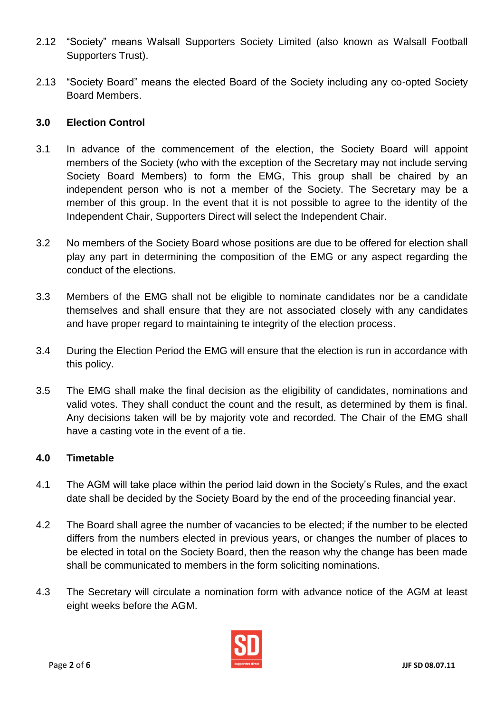- 2.12 "Society" means Walsall Supporters Society Limited (also known as Walsall Football Supporters Trust).
- 2.13 "Society Board" means the elected Board of the Society including any co-opted Society Board Members.

## **3.0 Election Control**

- 3.1 In advance of the commencement of the election, the Society Board will appoint members of the Society (who with the exception of the Secretary may not include serving Society Board Members) to form the EMG, This group shall be chaired by an independent person who is not a member of the Society. The Secretary may be a member of this group. In the event that it is not possible to agree to the identity of the Independent Chair, Supporters Direct will select the Independent Chair.
- 3.2 No members of the Society Board whose positions are due to be offered for election shall play any part in determining the composition of the EMG or any aspect regarding the conduct of the elections.
- 3.3 Members of the EMG shall not be eligible to nominate candidates nor be a candidate themselves and shall ensure that they are not associated closely with any candidates and have proper regard to maintaining te integrity of the election process.
- 3.4 During the Election Period the EMG will ensure that the election is run in accordance with this policy.
- 3.5 The EMG shall make the final decision as the eligibility of candidates, nominations and valid votes. They shall conduct the count and the result, as determined by them is final. Any decisions taken will be by majority vote and recorded. The Chair of the EMG shall have a casting vote in the event of a tie.

## **4.0 Timetable**

- 4.1 The AGM will take place within the period laid down in the Society's Rules, and the exact date shall be decided by the Society Board by the end of the proceeding financial year.
- 4.2 The Board shall agree the number of vacancies to be elected; if the number to be elected differs from the numbers elected in previous years, or changes the number of places to be elected in total on the Society Board, then the reason why the change has been made shall be communicated to members in the form soliciting nominations.
- 4.3 The Secretary will circulate a nomination form with advance notice of the AGM at least eight weeks before the AGM.

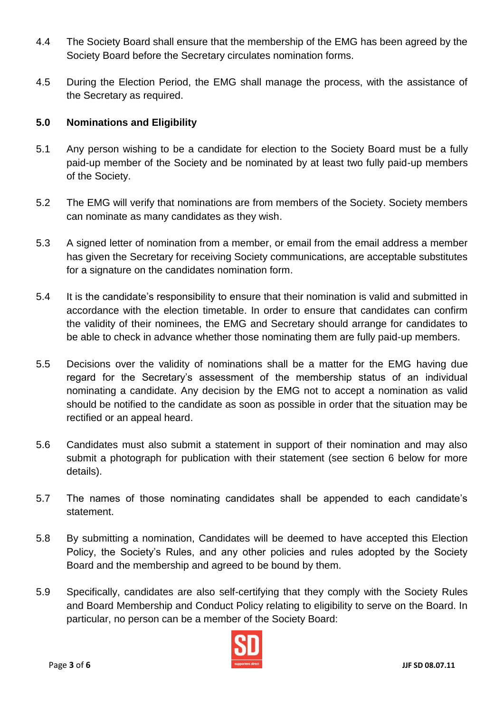- 4.4 The Society Board shall ensure that the membership of the EMG has been agreed by the Society Board before the Secretary circulates nomination forms.
- 4.5 During the Election Period, the EMG shall manage the process, with the assistance of the Secretary as required.

## **5.0 Nominations and Eligibility**

- 5.1 Any person wishing to be a candidate for election to the Society Board must be a fully paid-up member of the Society and be nominated by at least two fully paid-up members of the Society.
- 5.2 The EMG will verify that nominations are from members of the Society. Society members can nominate as many candidates as they wish.
- 5.3 A signed letter of nomination from a member, or email from the email address a member has given the Secretary for receiving Society communications, are acceptable substitutes for a signature on the candidates nomination form.
- 5.4 It is the candidate's responsibility to ensure that their nomination is valid and submitted in accordance with the election timetable. In order to ensure that candidates can confirm the validity of their nominees, the EMG and Secretary should arrange for candidates to be able to check in advance whether those nominating them are fully paid-up members.
- 5.5 Decisions over the validity of nominations shall be a matter for the EMG having due regard for the Secretary's assessment of the membership status of an individual nominating a candidate. Any decision by the EMG not to accept a nomination as valid should be notified to the candidate as soon as possible in order that the situation may be rectified or an appeal heard.
- 5.6 Candidates must also submit a statement in support of their nomination and may also submit a photograph for publication with their statement (see section 6 below for more details).
- 5.7 The names of those nominating candidates shall be appended to each candidate's statement.
- 5.8 By submitting a nomination, Candidates will be deemed to have accepted this Election Policy, the Society's Rules, and any other policies and rules adopted by the Society Board and the membership and agreed to be bound by them.
- 5.9 Specifically, candidates are also self-certifying that they comply with the Society Rules and Board Membership and Conduct Policy relating to eligibility to serve on the Board. In particular, no person can be a member of the Society Board:

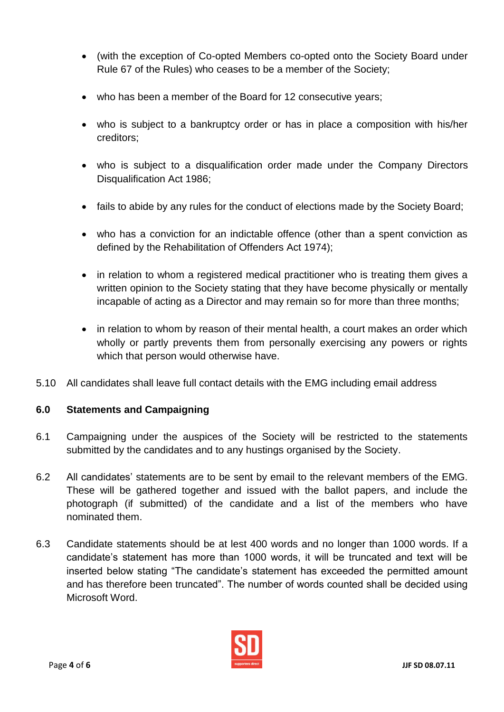- (with the exception of Co-opted Members co-opted onto the Society Board under Rule 67 of the Rules) who ceases to be a member of the Society;
- who has been a member of the Board for 12 consecutive years;
- who is subject to a bankruptcy order or has in place a composition with his/her creditors;
- who is subject to a disqualification order made under the Company Directors Disqualification Act 1986;
- fails to abide by any rules for the conduct of elections made by the Society Board;
- who has a conviction for an indictable offence (other than a spent conviction as defined by the Rehabilitation of Offenders Act 1974);
- in relation to whom a registered medical practitioner who is treating them gives a written opinion to the Society stating that they have become physically or mentally incapable of acting as a Director and may remain so for more than three months;
- in relation to whom by reason of their mental health, a court makes an order which wholly or partly prevents them from personally exercising any powers or rights which that person would otherwise have.
- 5.10 All candidates shall leave full contact details with the EMG including email address

## **6.0 Statements and Campaigning**

- 6.1 Campaigning under the auspices of the Society will be restricted to the statements submitted by the candidates and to any hustings organised by the Society.
- 6.2 All candidates' statements are to be sent by email to the relevant members of the EMG. These will be gathered together and issued with the ballot papers, and include the photograph (if submitted) of the candidate and a list of the members who have nominated them.
- 6.3 Candidate statements should be at lest 400 words and no longer than 1000 words. If a candidate's statement has more than 1000 words, it will be truncated and text will be inserted below stating "The candidate's statement has exceeded the permitted amount and has therefore been truncated". The number of words counted shall be decided using Microsoft Word.

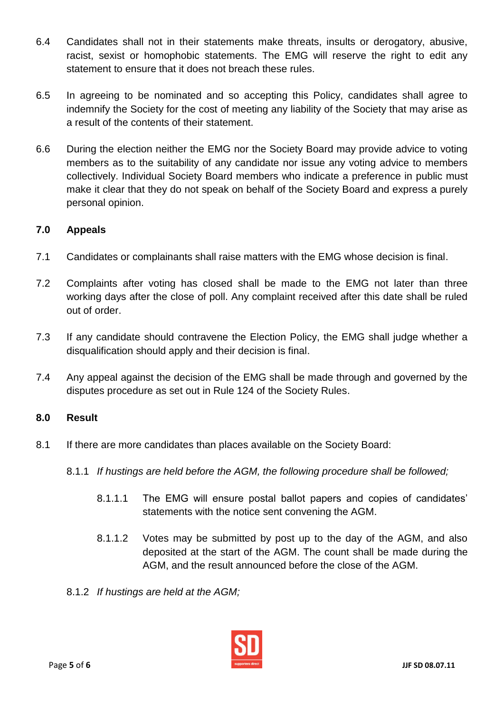- 6.4 Candidates shall not in their statements make threats, insults or derogatory, abusive, racist, sexist or homophobic statements. The EMG will reserve the right to edit any statement to ensure that it does not breach these rules.
- 6.5 In agreeing to be nominated and so accepting this Policy, candidates shall agree to indemnify the Society for the cost of meeting any liability of the Society that may arise as a result of the contents of their statement.
- 6.6 During the election neither the EMG nor the Society Board may provide advice to voting members as to the suitability of any candidate nor issue any voting advice to members collectively. Individual Society Board members who indicate a preference in public must make it clear that they do not speak on behalf of the Society Board and express a purely personal opinion.

## **7.0 Appeals**

- 7.1 Candidates or complainants shall raise matters with the EMG whose decision is final.
- 7.2 Complaints after voting has closed shall be made to the EMG not later than three working days after the close of poll. Any complaint received after this date shall be ruled out of order.
- 7.3 If any candidate should contravene the Election Policy, the EMG shall judge whether a disqualification should apply and their decision is final.
- 7.4 Any appeal against the decision of the EMG shall be made through and governed by the disputes procedure as set out in Rule 124 of the Society Rules.

#### **8.0 Result**

- 8.1 If there are more candidates than places available on the Society Board:
	- 8.1.1 *If hustings are held before the AGM, the following procedure shall be followed;*
		- 8.1.1.1 The EMG will ensure postal ballot papers and copies of candidates' statements with the notice sent convening the AGM.
		- 8.1.1.2 Votes may be submitted by post up to the day of the AGM, and also deposited at the start of the AGM. The count shall be made during the AGM, and the result announced before the close of the AGM.
	- 8.1.2 *If hustings are held at the AGM;*